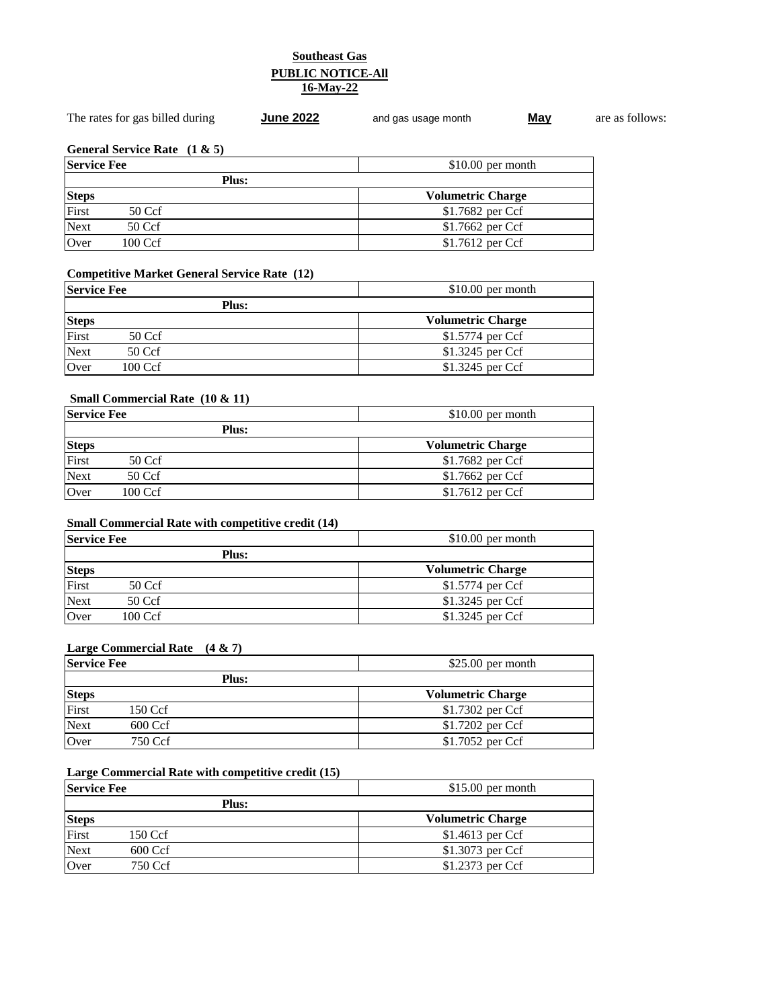## **Southeast Gas PUBLIC NOTICE-All 16-May-22**

| $$10.00$ per month       |  |
|--------------------------|--|
|                          |  |
| <b>Volumetric Charge</b> |  |
| \$1.7682 per Ccf         |  |
| \$1.7662 per Ccf         |  |
| $$1.7612$ per Ccf        |  |
|                          |  |

## **Competitive Market General Service Rate (12)**

|              | <b>Service Fee</b><br>$$10.00$ per month |  |                          |
|--------------|------------------------------------------|--|--------------------------|
| <b>Plus:</b> |                                          |  |                          |
| <b>Steps</b> |                                          |  | <b>Volumetric Charge</b> |
| First        | $50 \,\mathrm{Ccf}$                      |  | \$1.5774 per Ccf         |
| Next         | $50 \,\mathrm{Ccf}$                      |  | \$1.3245 per Ccf         |
| Over         | $100 \,\mathrm{Ccf}$                     |  | $$1.3245$ per Ccf        |

# **Small Commercial Rate (10 & 11)**

|              | <b>Service Fee</b><br>$$10.00$ per month |              |                          |
|--------------|------------------------------------------|--------------|--------------------------|
|              |                                          | <b>Plus:</b> |                          |
| <b>Steps</b> |                                          |              | <b>Volumetric Charge</b> |
| First        | $50 \,\mathrm{Ccf}$                      |              | \$1.7682 per Ccf         |
| Next         | 50 Ccf                                   |              | \$1.7662 per Ccf         |
| Over         | $100 \,\mathrm{Ccf}$                     |              | $$1.7612$ per Ccf        |

## **Small Commercial Rate with competitive credit (14)**

|              | <b>Service Fee</b><br>$$10.00$ per month |  |                          |
|--------------|------------------------------------------|--|--------------------------|
| <b>Plus:</b> |                                          |  |                          |
| <b>Steps</b> |                                          |  | <b>Volumetric Charge</b> |
| First        | 50 Ccf                                   |  | \$1.5774 per Ccf         |
| Next         | 50 Ccf                                   |  | \$1.3245 per Ccf         |
| Over         | $100 \,\mathrm{Ccf}$                     |  | \$1.3245 per Ccf         |

## **Large Commercial Rate (4 & 7)**

| <b>Service Fee</b> |                      | $$25.00$ per month       |
|--------------------|----------------------|--------------------------|
|                    | <b>Plus:</b>         |                          |
| <b>Steps</b>       |                      | <b>Volumetric Charge</b> |
| First              | 150 Ccf              | \$1.7302 per Ccf         |
| <b>Next</b>        | $600 \,\mathrm{Ccf}$ | \$1.7202 per Ccf         |
| Over               | 750 Ccf              | \$1.7052 per Ccf         |

## **Large Commercial Rate with competitive credit (15)**

|              | $$15.00$ per month<br><b>Service Fee</b> |  |                          |
|--------------|------------------------------------------|--|--------------------------|
| <b>Plus:</b> |                                          |  |                          |
| <b>Steps</b> |                                          |  | <b>Volumetric Charge</b> |
| First        | 150 Ccf                                  |  | \$1.4613 per Ccf         |
| Next         | $600 \,\mathrm{Ccf}$                     |  | \$1.3073 per Ccf         |
| Over         | 750 Ccf                                  |  | \$1.2373 per Ccf         |